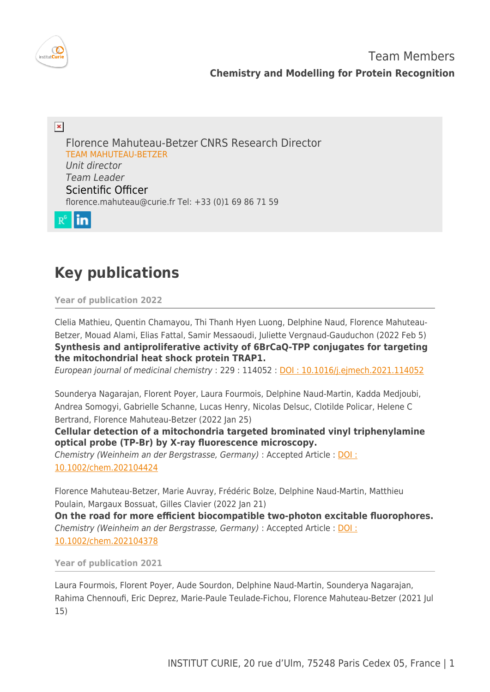

 $\pmb{\times}$ Florence Mahuteau-Betzer CNRS Research Director TEAM MAHUTEAU-BETZER Unit director Team Leader Scientific Officer [florence.mahuteau@curie.fr](mailto:florence.mahuteau@curie.fr) Tel: +33 (0)1 69 86 71 59



# **Key publications**

**Year of publication 2022**

Clelia Mathieu, Quentin Chamayou, Thi Thanh Hyen Luong, Delphine Naud, Florence Mahuteau-Betzer, Mouad Alami, Elias Fattal, Samir Messaoudi, Juliette Vergnaud-Gauduchon (2022 Feb 5) **Synthesis and antiproliferative activity of 6BrCaQ-TPP conjugates for targeting the mitochondrial heat shock protein TRAP1.**

European journal of medicinal chemistry : 229 : 114052 : [DOI : 10.1016/j.ejmech.2021.114052](http://dx.doi.org/10.1016/j.ejmech.2021.114052)

Sounderya Nagarajan, Florent Poyer, Laura Fourmois, Delphine Naud-Martin, Kadda Medjoubi, Andrea Somogyi, Gabrielle Schanne, Lucas Henry, Nicolas Delsuc, Clotilde Policar, Helene C Bertrand, Florence Mahuteau-Betzer (2022 Jan 25)

**Cellular detection of a mitochondria targeted brominated vinyl triphenylamine optical probe (TP-Br) by X-ray fluorescence microscopy.**

Chemistry (Weinheim an der Bergstrasse, Germany) : Accepted Article : [DOI :](http://dx.doi.org/10.1002/chem.202104424) [10.1002/chem.202104424](http://dx.doi.org/10.1002/chem.202104424)

Florence Mahuteau-Betzer, Marie Auvray, Frédéric Bolze, Delphine Naud-Martin, Matthieu Poulain, Margaux Bossuat, Gilles Clavier (2022 Jan 21)

**On the road for more efficient biocompatible two-photon excitable fluorophores.** Chemistry (Weinheim an der Bergstrasse, Germany) : Accepted Article : [DOI :](http://dx.doi.org/10.1002/chem.202104378) [10.1002/chem.202104378](http://dx.doi.org/10.1002/chem.202104378)

**Year of publication 2021**

Laura Fourmois, Florent Poyer, Aude Sourdon, Delphine Naud-Martin, Sounderya Nagarajan, Rahima Chennoufi, Eric Deprez, Marie-Paule Teulade-Fichou, Florence Mahuteau-Betzer (2021 Jul 15)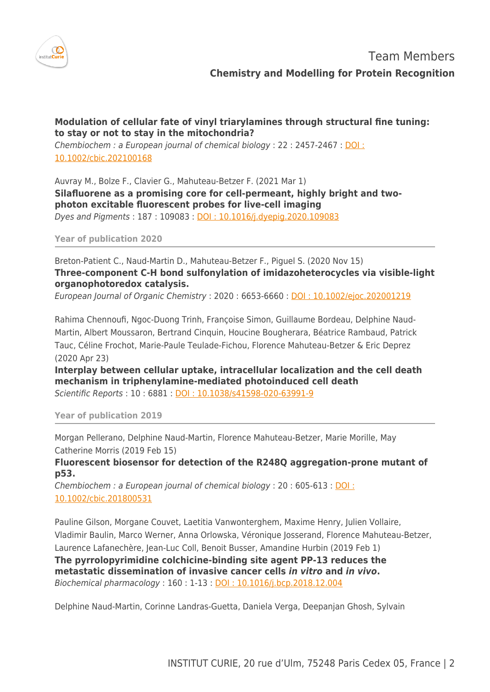

# **Modulation of cellular fate of vinyl triarylamines through structural fine tuning: to stay or not to stay in the mitochondria?**

Chembiochem : a European journal of chemical biology : 22 : 2457-2467 : [DOI :](http://dx.doi.org/10.1002/cbic.202100168) [10.1002/cbic.202100168](http://dx.doi.org/10.1002/cbic.202100168)

Auvray M., Bolze F., Clavier G., Mahuteau-Betzer F. (2021 Mar 1) **Silafluorene as a promising core for cell-permeant, highly bright and twophoton excitable fluorescent probes for live-cell imaging** Dyes and Pigments : 187 : 109083 : [DOI : 10.1016/j.dyepig.2020.109083](http://dx.doi.org/10.1016/j.dyepig.2020.109083)

**Year of publication 2020**

Breton-Patient C., Naud-Martin D., Mahuteau-Betzer F., Piguel S. (2020 Nov 15) **Three-component C-H bond sulfonylation of imidazoheterocycles via visible-light organophotoredox catalysis.**

European Journal of Organic Chemistry : 2020 : 6653-6660 : [DOI : 10.1002/ejoc.202001219](http://dx.doi.org/10.1002/ejoc.202001219)

Rahima Chennoufi, Ngoc-Duong Trinh, Françoise Simon, Guillaume Bordeau, Delphine Naud-Martin, Albert Moussaron, Bertrand Cinquin, Houcine Bougherara, Béatrice Rambaud, Patrick Tauc, Céline Frochot, Marie-Paule Teulade-Fichou, Florence Mahuteau-Betzer & Eric Deprez (2020 Apr 23)

**Interplay between cellular uptake, intracellular localization and the cell death mechanism in triphenylamine-mediated photoinduced cell death** Scientific Reports : 10 : 6881 : [DOI : 10.1038/s41598-020-63991-9](http://dx.doi.org/10.1038/s41598-020-63991-9)

**Year of publication 2019**

Morgan Pellerano, Delphine Naud-Martin, Florence Mahuteau-Betzer, Marie Morille, May Catherine Morris (2019 Feb 15)

**Fluorescent biosensor for detection of the R248Q aggregation-prone mutant of p53.**

Chembiochem : a European journal of chemical biology : 20 : 605-613 : [DOI :](http://dx.doi.org/10.1002/cbic.201800531) [10.1002/cbic.201800531](http://dx.doi.org/10.1002/cbic.201800531)

Pauline Gilson, Morgane Couvet, Laetitia Vanwonterghem, Maxime Henry, Julien Vollaire, Vladimir Baulin, Marco Werner, Anna Orlowska, Véronique Josserand, Florence Mahuteau-Betzer, Laurence Lafanechère, Jean-Luc Coll, Benoit Busser, Amandine Hurbin (2019 Feb 1) **The pyrrolopyrimidine colchicine-binding site agent PP-13 reduces the metastatic dissemination of invasive cancer cells** *in vitro* **and** *in vivo***.** Biochemical pharmacology : 160 : 1-13 : [DOI : 10.1016/j.bcp.2018.12.004](http://dx.doi.org/10.1016/j.bcp.2018.12.004)

Delphine Naud-Martin, Corinne Landras-Guetta, Daniela Verga, Deepanjan Ghosh, Sylvain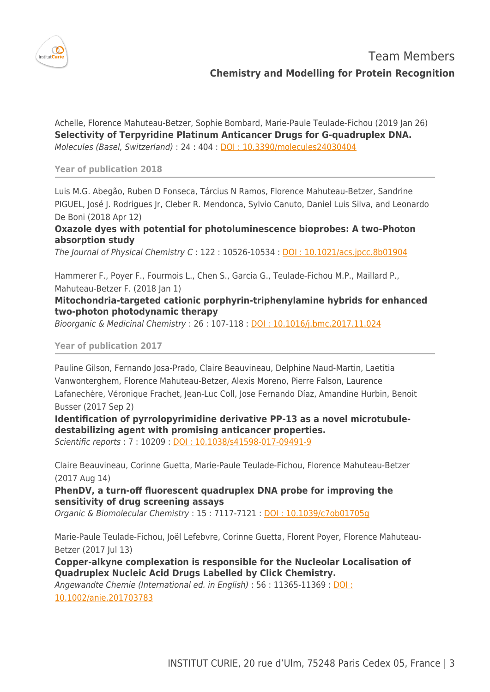

Achelle, Florence Mahuteau-Betzer, Sophie Bombard, Marie-Paule Teulade-Fichou (2019 Jan 26) **Selectivity of Terpyridine Platinum Anticancer Drugs for G-quadruplex DNA.** Molecules (Basel, Switzerland) : 24 : 404 : [DOI : 10.3390/molecules24030404](http://dx.doi.org/10.3390/molecules24030404)

**Year of publication 2018**

Luis M.G. Abegão, Ruben D Fonseca, Tárcius N Ramos, Florence Mahuteau-Betzer, Sandrine PIGUEL, José J. Rodrigues Jr, Cleber R. Mendonca, Sylvio Canuto, Daniel Luis Silva, and Leonardo De Boni (2018 Apr 12)

**Oxazole dyes with potential for photoluminescence bioprobes: A two-Photon absorption study**

The Journal of Physical Chemistry C : 122 : 10526-10534 : [DOI : 10.1021/acs.jpcc.8b01904](http://dx.doi.org/10.1021/acs.jpcc.8b01904)

Hammerer F., Poyer F., Fourmois L., Chen S., Garcia G., Teulade-Fichou M.P., Maillard P., Mahuteau-Betzer F. (2018 Jan 1)

## **Mitochondria-targeted cationic porphyrin-triphenylamine hybrids for enhanced two-photon photodynamic therapy**

Bioorganic & Medicinal Chemistry : 26 : 107-118 : [DOI : 10.1016/j.bmc.2017.11.024](http://dx.doi.org/10.1016/j.bmc.2017.11.024)

**Year of publication 2017**

Pauline Gilson, Fernando Josa-Prado, Claire Beauvineau, Delphine Naud-Martin, Laetitia Vanwonterghem, Florence Mahuteau-Betzer, Alexis Moreno, Pierre Falson, Laurence Lafanechère, Véronique Frachet, Jean-Luc Coll, Jose Fernando Díaz, Amandine Hurbin, Benoit Busser (2017 Sep 2)

**Identification of pyrrolopyrimidine derivative PP-13 as a novel microtubuledestabilizing agent with promising anticancer properties.** Scientific reports : 7 : 10209 : [DOI : 10.1038/s41598-017-09491-9](http://dx.doi.org/10.1038/s41598-017-09491-9)

Claire Beauvineau, Corinne Guetta, Marie-Paule Teulade-Fichou, Florence Mahuteau-Betzer (2017 Aug 14)

**PhenDV, a turn-off fluorescent quadruplex DNA probe for improving the sensitivity of drug screening assays**

Organic & Biomolecular Chemistry : 15 : 7117-7121 : [DOI : 10.1039/c7ob01705g](http://dx.doi.org/10.1039/c7ob01705g)

Marie-Paule Teulade-Fichou, Joël Lefebvre, Corinne Guetta, Florent Poyer, Florence Mahuteau-Betzer (2017 Jul 13)

**Copper-alkyne complexation is responsible for the Nucleolar Localisation of Quadruplex Nucleic Acid Drugs Labelled by Click Chemistry.**

Angewandte Chemie (International ed. in English) : 56 : 11365-11369 : [DOI :](http://dx.doi.org/10.1002/anie.201703783)

[10.1002/anie.201703783](http://dx.doi.org/10.1002/anie.201703783)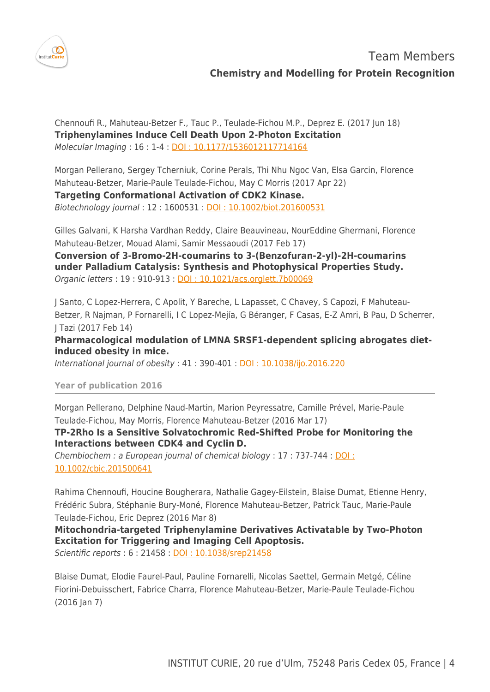

Team Members **Chemistry and Modelling for Protein Recognition**

Chennoufi R., Mahuteau-Betzer F., Tauc P., Teulade-Fichou M.P., Deprez E. (2017 Jun 18) **Triphenylamines Induce Cell Death Upon 2-Photon Excitation** Molecular Imaging : 16 : 1-4 : [DOI : 10.1177/1536012117714164](http://dx.doi.org/10.1177/1536012117714164)

Morgan Pellerano, Sergey Tcherniuk, Corine Perals, Thi Nhu Ngoc Van, Elsa Garcin, Florence Mahuteau-Betzer, Marie-Paule Teulade-Fichou, May C Morris (2017 Apr 22)

**Targeting Conformational Activation of CDK2 Kinase.**

Biotechnology journal : 12 : 1600531 : [DOI : 10.1002/biot.201600531](http://dx.doi.org/10.1002/biot.201600531)

Gilles Galvani, K Harsha Vardhan Reddy, Claire Beauvineau, NourEddine Ghermani, Florence Mahuteau-Betzer, Mouad Alami, Samir Messaoudi (2017 Feb 17)

**Conversion of 3-Bromo-2H-coumarins to 3-(Benzofuran-2-yl)-2H-coumarins under Palladium Catalysis: Synthesis and Photophysical Properties Study.** Organic letters : 19 : 910-913 : [DOI : 10.1021/acs.orglett.7b00069](http://dx.doi.org/10.1021/acs.orglett.7b00069)

J Santo, C Lopez-Herrera, C Apolit, Y Bareche, L Lapasset, C Chavey, S Capozi, F Mahuteau-Betzer, R Najman, P Fornarelli, I C Lopez-Mejía, G Béranger, F Casas, E-Z Amri, B Pau, D Scherrer, J Tazi (2017 Feb 14)

**Pharmacological modulation of LMNA SRSF1-dependent splicing abrogates dietinduced obesity in mice.**

International journal of obesity : 41 : 390-401 : **DOI : 10.1038/ijo.2016.220** 

### **Year of publication 2016**

Morgan Pellerano, Delphine Naud-Martin, Marion Peyressatre, Camille Prével, Marie-Paule Teulade-Fichou, May Morris, Florence Mahuteau-Betzer (2016 Mar 17)

**TP-2Rho Is a Sensitive Solvatochromic Red-Shifted Probe for Monitoring the Interactions between CDK4 and Cyclin D.**

Chembiochem : a European journal of chemical biology : 17 : 737-744 : [DOI :](http://dx.doi.org/10.1002/cbic.201500641) [10.1002/cbic.201500641](http://dx.doi.org/10.1002/cbic.201500641)

Rahima Chennoufi, Houcine Bougherara, Nathalie Gagey-Eilstein, Blaise Dumat, Etienne Henry, Frédéric Subra, Stéphanie Bury-Moné, Florence Mahuteau-Betzer, Patrick Tauc, Marie-Paule Teulade-Fichou, Eric Deprez (2016 Mar 8)

**Mitochondria-targeted Triphenylamine Derivatives Activatable by Two-Photon Excitation for Triggering and Imaging Cell Apoptosis.**

Scientific reports : 6 : 21458 : [DOI : 10.1038/srep21458](http://dx.doi.org/10.1038/srep21458)

Blaise Dumat, Elodie Faurel-Paul, Pauline Fornarelli, Nicolas Saettel, Germain Metgé, Céline Fiorini-Debuisschert, Fabrice Charra, Florence Mahuteau-Betzer, Marie-Paule Teulade-Fichou  $(2016 \text{ Jan } 7)$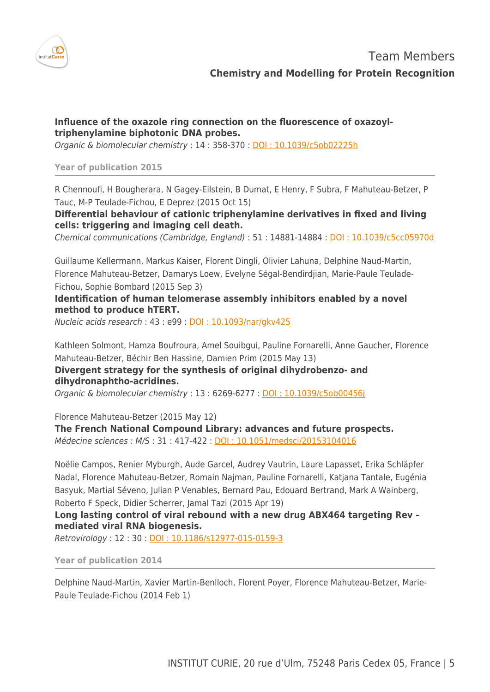

## **Influence of the oxazole ring connection on the fluorescence of oxazoyltriphenylamine biphotonic DNA probes.**

Organic & biomolecular chemistry : 14 : 358-370 : [DOI : 10.1039/c5ob02225h](http://dx.doi.org/10.1039/c5ob02225h)

#### **Year of publication 2015**

R Chennoufi, H Bougherara, N Gagey-Eilstein, B Dumat, E Henry, F Subra, F Mahuteau-Betzer, P Tauc, M-P Teulade-Fichou, E Deprez (2015 Oct 15)

**Differential behaviour of cationic triphenylamine derivatives in fixed and living cells: triggering and imaging cell death.**

Chemical communications (Cambridge, England) : 51 : 14881-14884 : [DOI : 10.1039/c5cc05970d](http://dx.doi.org/10.1039/c5cc05970d)

Guillaume Kellermann, Markus Kaiser, Florent Dingli, Olivier Lahuna, Delphine Naud-Martin, Florence Mahuteau-Betzer, Damarys Loew, Evelyne Ségal-Bendirdjian, Marie-Paule Teulade-Fichou, Sophie Bombard (2015 Sep 3)

**Identification of human telomerase assembly inhibitors enabled by a novel method to produce hTERT.**

Nucleic acids research : 43 : e99 : [DOI : 10.1093/nar/gkv425](http://dx.doi.org/10.1093/nar/gkv425)

Kathleen Solmont, Hamza Boufroura, Amel Souibgui, Pauline Fornarelli, Anne Gaucher, Florence Mahuteau-Betzer, Béchir Ben Hassine, Damien Prim (2015 May 13)

**Divergent strategy for the synthesis of original dihydrobenzo- and dihydronaphtho-acridines.**

Organic & biomolecular chemistry : 13 : 6269-6277 : [DOI : 10.1039/c5ob00456j](http://dx.doi.org/10.1039/c5ob00456j)

Florence Mahuteau-Betzer (2015 May 12)

**The French National Compound Library: advances and future prospects.** Médecine sciences : M/S : 31 : 417-422 : [DOI : 10.1051/medsci/20153104016](http://dx.doi.org/10.1051/medsci/20153104016)

Noëlie Campos, Renier Myburgh, Aude Garcel, Audrey Vautrin, Laure Lapasset, Erika Schläpfer Nadal, Florence Mahuteau-Betzer, Romain Najman, Pauline Fornarelli, Katjana Tantale, Eugénia Basyuk, Martial Séveno, Julian P Venables, Bernard Pau, Edouard Bertrand, Mark A Wainberg, Roberto F Speck, Didier Scherrer, Jamal Tazi (2015 Apr 19)

**Long lasting control of viral rebound with a new drug ABX464 targeting Rev – mediated viral RNA biogenesis.**

Retrovirology : 12 : 30 : [DOI : 10.1186/s12977-015-0159-3](http://dx.doi.org/10.1186/s12977-015-0159-3)

**Year of publication 2014**

Delphine Naud-Martin, Xavier Martin-Benlloch, Florent Poyer, Florence Mahuteau-Betzer, Marie-Paule Teulade-Fichou (2014 Feb 1)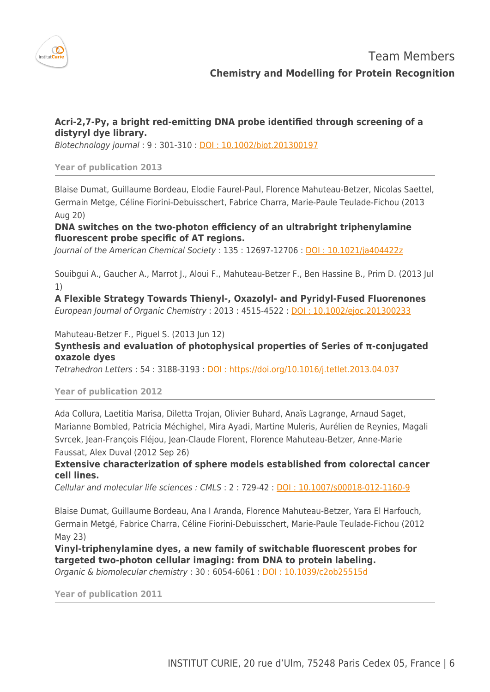

# **Acri-2,7-Py, a bright red-emitting DNA probe identified through screening of a distyryl dye library.**

Biotechnology journal : 9 : 301-310 : [DOI : 10.1002/biot.201300197](http://dx.doi.org/10.1002/biot.201300197)

#### **Year of publication 2013**

Blaise Dumat, Guillaume Bordeau, Elodie Faurel-Paul, Florence Mahuteau-Betzer, Nicolas Saettel, Germain Metge, Céline Fiorini-Debuisschert, Fabrice Charra, Marie-Paule Teulade-Fichou (2013 Aug 20)

**DNA switches on the two-photon efficiency of an ultrabright triphenylamine fluorescent probe specific of AT regions.**

Journal of the American Chemical Society : 135 : 12697-12706 : [DOI : 10.1021/ja404422z](http://dx.doi.org/10.1021/ja404422z)

Souibgui A., Gaucher A., Marrot J., Aloui F., Mahuteau-Betzer F., Ben Hassine B., Prim D. (2013 Jul 1)

**A Flexible Strategy Towards Thienyl-, Oxazolyl- and Pyridyl-Fused Fluorenones** European Journal of Organic Chemistry : 2013 : 4515-4522 : [DOI : 10.1002/ejoc.201300233](http://dx.doi.org/10.1002/ejoc.201300233)

Mahuteau-Betzer F., Piguel S. (2013 Jun 12)

## **Synthesis and evaluation of photophysical properties of Series of π-conjugated oxazole dyes**

Tetrahedron Letters : 54 : 3188-3193 : [DOI : https://doi.org/10.1016/j.tetlet.2013.04.037](http://dx.doi.org/https://doi.org/10.1016/j.tetlet.2013.04.037)

### **Year of publication 2012**

Ada Collura, Laetitia Marisa, Diletta Trojan, Olivier Buhard, Anaïs Lagrange, Arnaud Saget, Marianne Bombled, Patricia Méchighel, Mira Ayadi, Martine Muleris, Aurélien de Reynies, Magali Svrcek, Jean-François Fléjou, Jean-Claude Florent, Florence Mahuteau-Betzer, Anne-Marie Faussat, Alex Duval (2012 Sep 26)

## **Extensive characterization of sphere models established from colorectal cancer cell lines.**

Cellular and molecular life sciences : CMLS : 2 : 729-42 : [DOI : 10.1007/s00018-012-1160-9](http://dx.doi.org/10.1007/s00018-012-1160-9)

Blaise Dumat, Guillaume Bordeau, Ana I Aranda, Florence Mahuteau-Betzer, Yara El Harfouch, Germain Metgé, Fabrice Charra, Céline Fiorini-Debuisschert, Marie-Paule Teulade-Fichou (2012 May 23)

**Vinyl-triphenylamine dyes, a new family of switchable fluorescent probes for targeted two-photon cellular imaging: from DNA to protein labeling.** Organic & biomolecular chemistry : 30 : 6054-6061 : [DOI : 10.1039/c2ob25515d](http://dx.doi.org/10.1039/c2ob25515d)

**Year of publication 2011**